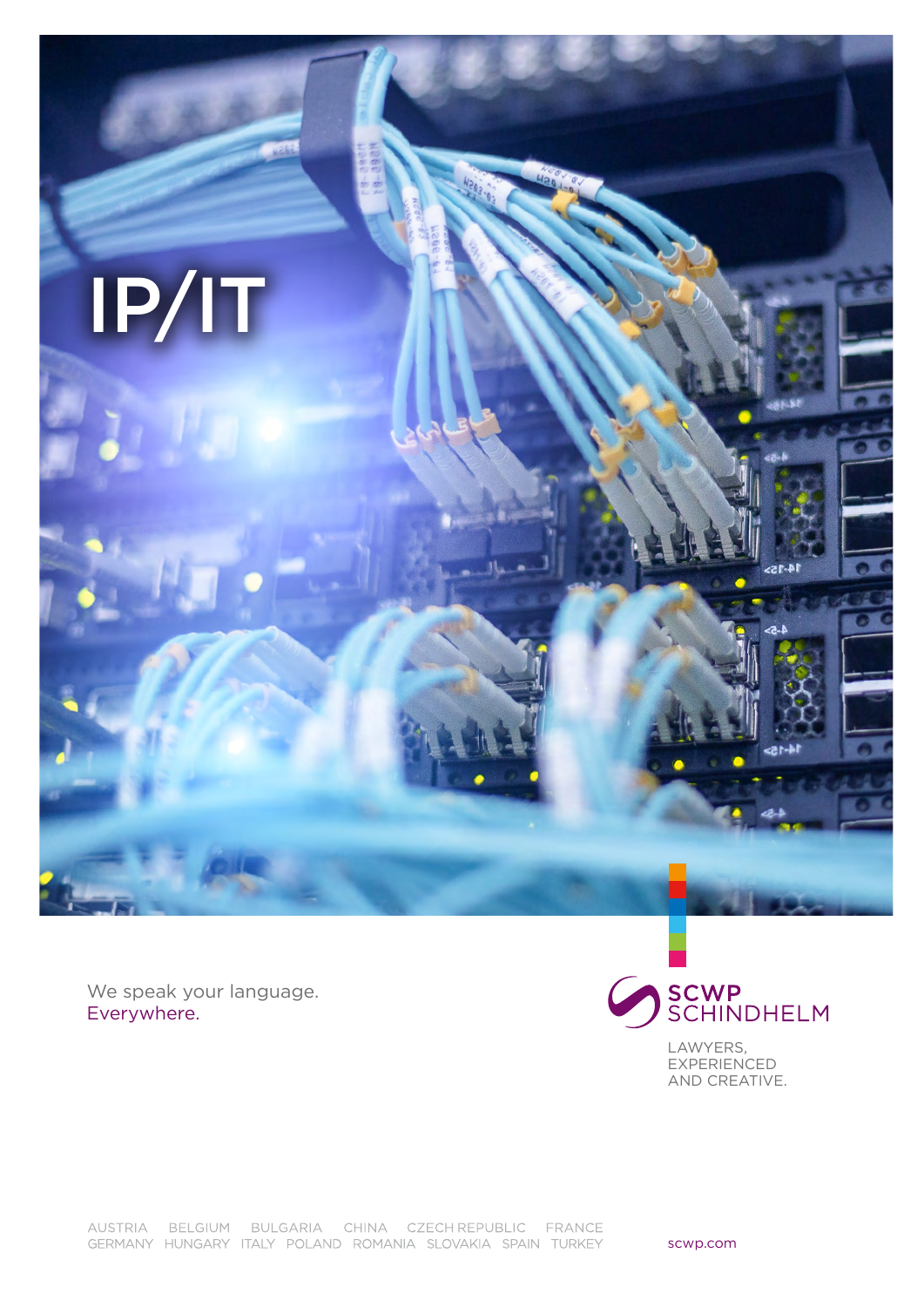

We speak your language. Everywhere.



LAWYERS, **EXPERIENCED** AND CREATIVE.

AUSTRIA BELGIUM BULGARIA CHINA CZECHREPUBLIC FRANCE GERMANY HUNGARY ITALY POLAND ROMANIA SLOVAKIA SPAIN TURKEY

scwp.com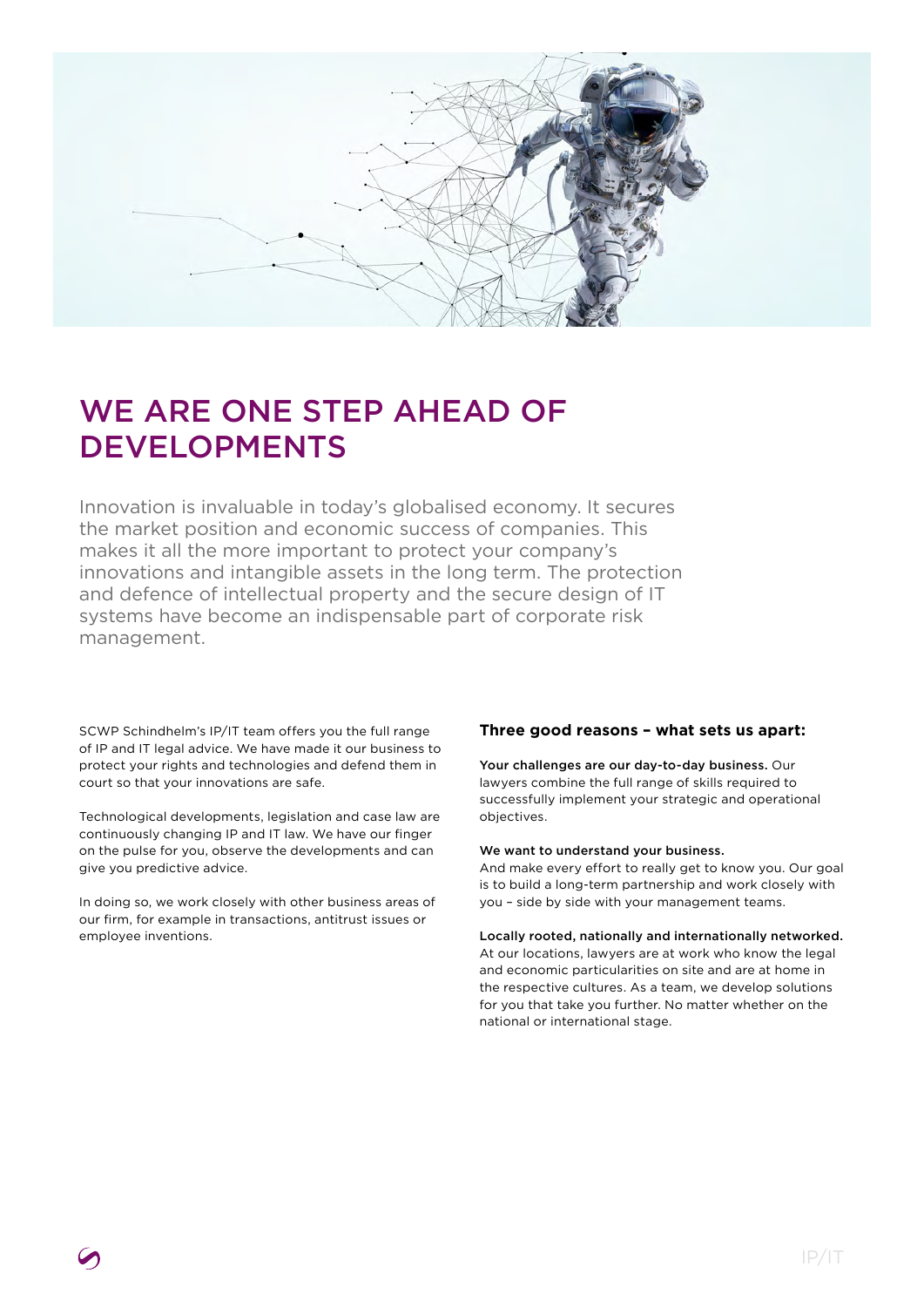

# WE ARE ONE STEP AHEAD OF DEVELOPMENTS

Innovation is invaluable in today's globalised economy. It secures the market position and economic success of companies. This makes it all the more important to protect your company's innovations and intangible assets in the long term. The protection and defence of intellectual property and the secure design of IT systems have become an indispensable part of corporate risk management.

SCWP Schindhelm's IP/IT team offers you the full range of IP and IT legal advice. We have made it our business to protect your rights and technologies and defend them in court so that your innovations are safe.

Technological developments, legislation and case law are continuously changing IP and IT law. We have our finger on the pulse for you, observe the developments and can give you predictive advice.

In doing so, we work closely with other business areas of our firm, for example in transactions, antitrust issues or employee inventions.

# **Three good reasons – what sets us apart:**

Your challenges are our day-to-day business. Our lawyers combine the full range of skills required to successfully implement your strategic and operational objectives.

## We want to understand your business.

And make every effort to really get to know you. Our goal is to build a long-term partnership and work closely with you – side by side with your management teams.

#### Locally rooted, nationally and internationally networked.

At our locations, lawyers are at work who know the legal and economic particularities on site and are at home in the respective cultures. As a team, we develop solutions for you that take you further. No matter whether on the national or international stage.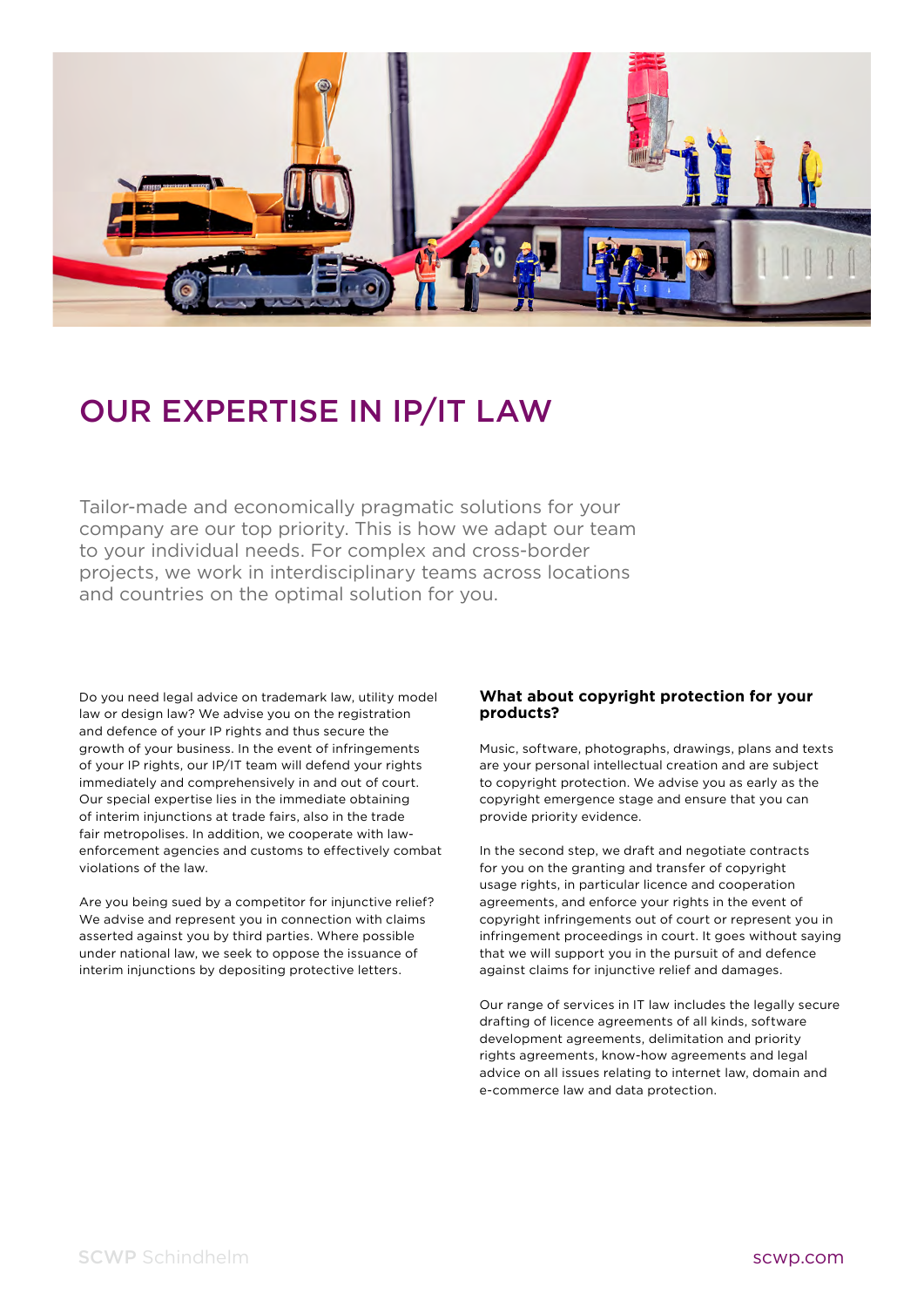

# OUR EXPERTISE IN IP/IT LAW

Tailor-made and economically pragmatic solutions for your company are our top priority. This is how we adapt our team to your individual needs. For complex and cross-border projects, we work in interdisciplinary teams across locations and countries on the optimal solution for you.

Do you need legal advice on trademark law, utility model law or design law? We advise you on the registration and defence of your IP rights and thus secure the growth of your business. In the event of infringements of your IP rights, our IP/IT team will defend your rights immediately and comprehensively in and out of court. Our special expertise lies in the immediate obtaining of interim injunctions at trade fairs, also in the trade fair metropolises. In addition, we cooperate with lawenforcement agencies and customs to effectively combat violations of the law.

Are you being sued by a competitor for injunctive relief? We advise and represent you in connection with claims asserted against you by third parties. Where possible under national law, we seek to oppose the issuance of interim injunctions by depositing protective letters.

# **What about copyright protection for your products?**

Music, software, photographs, drawings, plans and texts are your personal intellectual creation and are subject to copyright protection. We advise you as early as the copyright emergence stage and ensure that you can provide priority evidence.

In the second step, we draft and negotiate contracts for you on the granting and transfer of copyright usage rights, in particular licence and cooperation agreements, and enforce your rights in the event of copyright infringements out of court or represent you in infringement proceedings in court. It goes without saying that we will support you in the pursuit of and defence against claims for injunctive relief and damages.

Our range of services in IT law includes the legally secure drafting of licence agreements of all kinds, software development agreements, delimitation and priority rights agreements, know-how agreements and legal advice on all issues relating to internet law, domain and e-commerce law and data protection.